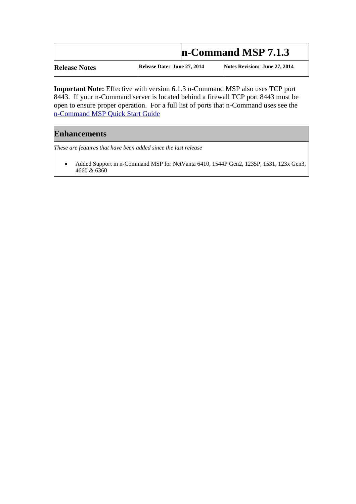## **n-Command MSP 7.1.3**

**Release Notes Release Date: June 27, 2014 Notes Revision: June 27, 2014** 

**Important Note:** Effective with version 6.1.3 n-Command MSP also uses TCP port 8443. If your n-Command server is located behind a firewall TCP port 8443 must be open to ensure proper operation. For a full list of ports that n-Command uses see the [n-Command MSP Quick Start Guide](https://supportforums.adtran.com/docs/DOC-1217) 

## **Enhancements**

*These are features that have been added since the last release*

 Added Support in n-Command MSP for NetVanta 6410, 1544P Gen2, 1235P, 1531, 123x Gen3, 4660 & 6360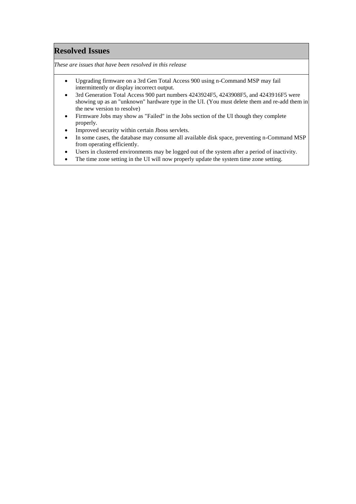## **Resolved Issues**

*These are issues that have been resolved in this release*

- Upgrading firmware on a 3rd Gen Total Access 900 using n-Command MSP may fail intermittently or display incorrect output.
- 3rd Generation Total Access 900 part numbers 4243924F5, 4243908F5, and 4243916F5 were showing up as an "unknown" hardware type in the UI. (You must delete them and re-add them in the new version to resolve)
- Firmware Jobs may show as "Failed" in the Jobs section of the UI though they complete properly.
- Improved security within certain Jboss servlets.
- In some cases, the database may consume all available disk space, preventing n-Command MSP from operating efficiently.
- Users in clustered environments may be logged out of the system after a period of inactivity.
- The time zone setting in the UI will now properly update the system time zone setting.